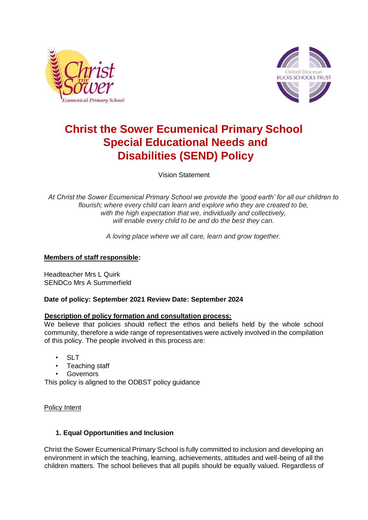



# **Christ the Sower Ecumenical Primary School Special Educational Needs and Disabilities (SEND) Policy**

Vision Statement

*At Christ the Sower Ecumenical Primary School we provide the 'good earth' for all our children to flourish; where every child can learn and explore who they are created to be, with the high expectation that we, individually and collectively, will enable every child to be and do the best they can.*

*A loving place where we all care, learn and grow together.*

# **Members of staff responsible:**

Headteacher Mrs L Quirk SENDCo Mrs A Summerfield

# **Date of policy: September 2021 Review Date: September 2024**

#### **Description of policy formation and consultation process:**

We believe that policies should reflect the ethos and beliefs held by the whole school community, therefore a wide range of representatives were actively involved in the compilation of this policy. The people involved in this process are:

- **SLT**
- Teaching staff
- **Governors**

This policy is aligned to the ODBST policy guidance

#### Policy Intent

# **1. Equal Opportunities and Inclusion**

Christ the Sower Ecumenical Primary School is fully committed to inclusion and developing an environment in which the teaching, learning, achievements, attitudes and well-being of all the children matters. The school believes that all pupils should be equally valued. Regardless of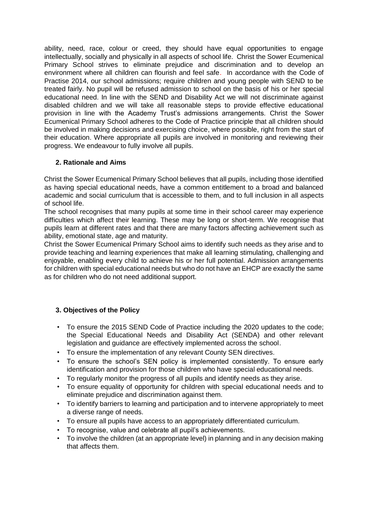ability, need, race, colour or creed, they should have equal opportunities to engage intellectually, socially and physically in all aspects of school life. Christ the Sower Ecumenical Primary School strives to eliminate prejudice and discrimination and to develop an environment where all children can flourish and feel safe. In accordance with the Code of Practise 2014, our school admissions; require children and young people with SEND to be treated fairly. No pupil will be refused admission to school on the basis of his or her special educational need. In line with the SEND and Disability Act we will not discriminate against disabled children and we will take all reasonable steps to provide effective educational provision in line with the Academy Trust's admissions arrangements. Christ the Sower Ecumenical Primary School adheres to the Code of Practice principle that all children should be involved in making decisions and exercising choice, where possible, right from the start of their education. Where appropriate all pupils are involved in monitoring and reviewing their progress. We endeavour to fully involve all pupils.

# **2. Rationale and Aims**

Christ the Sower Ecumenical Primary School believes that all pupils, including those identified as having special educational needs, have a common entitlement to a broad and balanced academic and social curriculum that is accessible to them, and to full inclusion in all aspects of school life.

The school recognises that many pupils at some time in their school career may experience difficulties which affect their learning. These may be long or short-term. We recognise that pupils learn at different rates and that there are many factors affecting achievement such as ability, emotional state, age and maturity.

Christ the Sower Ecumenical Primary School aims to identify such needs as they arise and to provide teaching and learning experiences that make all learning stimulating, challenging and enjoyable, enabling every child to achieve his or her full potential. Admission arrangements for children with special educational needs but who do not have an EHCP are exactly the same as for children who do not need additional support.

# **3. Objectives of the Policy**

- To ensure the 2015 SEND Code of Practice including the 2020 updates to the code; the Special Educational Needs and Disability Act (SENDA) and other relevant legislation and guidance are effectively implemented across the school.
- To ensure the implementation of any relevant County SEN directives.
- To ensure the school's SEN policy is implemented consistently. To ensure early identification and provision for those children who have special educational needs.
- To regularly monitor the progress of all pupils and identify needs as they arise.
- To ensure equality of opportunity for children with special educational needs and to eliminate prejudice and discrimination against them.
- To identify barriers to learning and participation and to intervene appropriately to meet a diverse range of needs.
- To ensure all pupils have access to an appropriately differentiated curriculum.
- To recognise, value and celebrate all pupil's achievements.
- To involve the children (at an appropriate level) in planning and in any decision making that affects them.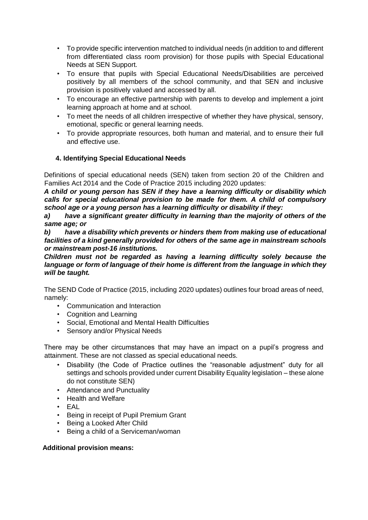- To provide specific intervention matched to individual needs (in addition to and different from differentiated class room provision) for those pupils with Special Educational Needs at SEN Support.
- To ensure that pupils with Special Educational Needs/Disabilities are perceived positively by all members of the school community, and that SEN and inclusive provision is positively valued and accessed by all.
- To encourage an effective partnership with parents to develop and implement a joint learning approach at home and at school.
- To meet the needs of all children irrespective of whether they have physical, sensory, emotional, specific or general learning needs.
- To provide appropriate resources, both human and material, and to ensure their full and effective use.

# **4. Identifying Special Educational Needs**

Definitions of special educational needs (SEN) taken from section 20 of the Children and Families Act 2014 and the Code of Practice 2015 including 2020 updates:

*A child or young person has SEN if they have a learning difficulty or disability which calls for special educational provision to be made for them. A child of compulsory school age or a young person has a learning difficulty or disability if they:* 

*a) have a significant greater difficulty in learning than the majority of others of the same age; or* 

*b) have a disability which prevents or hinders them from making use of educational facilities of a kind generally provided for others of the same age in mainstream schools or mainstream post-16 institutions.* 

*Children must not be regarded as having a learning difficulty solely because the language or form of language of their home is different from the language in which they will be taught.* 

The SEND Code of Practice (2015, including 2020 updates) outlines four broad areas of need, namely:

- Communication and Interaction
- Cognition and Learning
- Social, Emotional and Mental Health Difficulties
- Sensory and/or Physical Needs

There may be other circumstances that may have an impact on a pupil's progress and attainment. These are not classed as special educational needs.

- Disability (the Code of Practice outlines the "reasonable adjustment" duty for all settings and schools provided under current Disability Equality legislation – these alone do not constitute SEN)
- Attendance and Punctuality
- Health and Welfare
- EAL
- Being in receipt of Pupil Premium Grant
- Being a Looked After Child
- Being a child of a Serviceman/woman

# **Additional provision means:**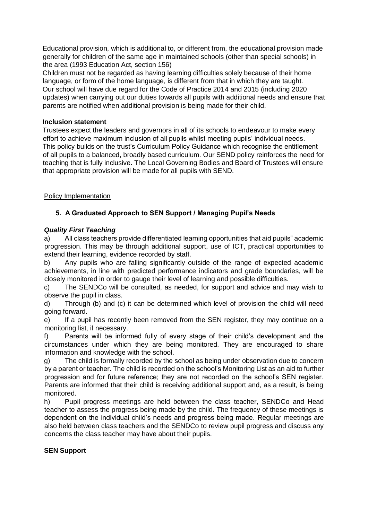Educational provision, which is additional to, or different from, the educational provision made generally for children of the same age in maintained schools (other than special schools) in the area (1993 Education Act, section 156)

Children must not be regarded as having learning difficulties solely because of their home language, or form of the home language, is different from that in which they are taught. Our school will have due regard for the Code of Practice 2014 and 2015 (including 2020 updates) when carrying out our duties towards all pupils with additional needs and ensure that parents are notified when additional provision is being made for their child.

## **Inclusion statement**

Trustees expect the leaders and governors in all of its schools to endeavour to make every effort to achieve maximum inclusion of all pupils whilst meeting pupils' individual needs. This policy builds on the trust's Curriculum Policy Guidance which recognise the entitlement of all pupils to a balanced, broadly based curriculum. Our SEND policy reinforces the need for teaching that is fully inclusive. The Local Governing Bodies and Board of Trustees will ensure that appropriate provision will be made for all pupils with SEND.

## Policy Implementation

# **5. A Graduated Approach to SEN Support / Managing Pupil's Needs**

# *Quality First Teaching*

a) All class teachers provide differentiated learning opportunities that aid pupils" academic progression. This may be through additional support, use of ICT, practical opportunities to extend their learning, evidence recorded by staff.

b) Any pupils who are falling significantly outside of the range of expected academic achievements, in line with predicted performance indicators and grade boundaries, will be closely monitored in order to gauge their level of learning and possible difficulties.

c) The SENDCo will be consulted, as needed, for support and advice and may wish to observe the pupil in class.

d) Through (b) and (c) it can be determined which level of provision the child will need going forward.

e) If a pupil has recently been removed from the SEN register, they may continue on a monitoring list, if necessary.

f) Parents will be informed fully of every stage of their child's development and the circumstances under which they are being monitored. They are encouraged to share information and knowledge with the school.

g) The child is formally recorded by the school as being under observation due to concern by a parent or teacher. The child is recorded on the school's Monitoring List as an aid to further progression and for future reference; they are not recorded on the school's SEN register. Parents are informed that their child is receiving additional support and, as a result, is being monitored.

h) Pupil progress meetings are held between the class teacher, SENDCo and Head teacher to assess the progress being made by the child. The frequency of these meetings is dependent on the individual child's needs and progress being made. Regular meetings are also held between class teachers and the SENDCo to review pupil progress and discuss any concerns the class teacher may have about their pupils.

# **SEN Support**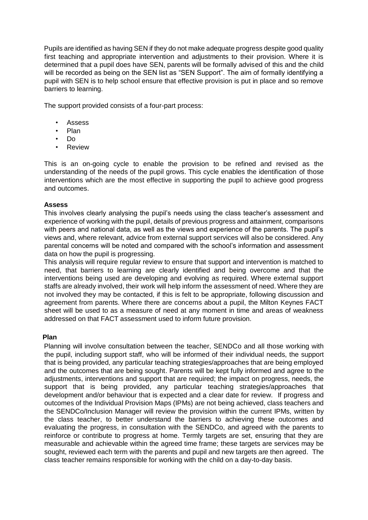Pupils are identified as having SEN if they do not make adequate progress despite good quality first teaching and appropriate intervention and adjustments to their provision. Where it is determined that a pupil does have SEN, parents will be formally advised of this and the child will be recorded as being on the SEN list as "SEN Support". The aim of formally identifying a pupil with SEN is to help school ensure that effective provision is put in place and so remove barriers to learning.

The support provided consists of a four-part process:

- Assess
- Plan
- Do
- Review

This is an on-going cycle to enable the provision to be refined and revised as the understanding of the needs of the pupil grows. This cycle enables the identification of those interventions which are the most effective in supporting the pupil to achieve good progress and outcomes.

# **Assess**

This involves clearly analysing the pupil's needs using the class teacher's assessment and experience of working with the pupil, details of previous progress and attainment, comparisons with peers and national data, as well as the views and experience of the parents. The pupil's views and, where relevant, advice from external support services will also be considered. Any parental concerns will be noted and compared with the school's information and assessment data on how the pupil is progressing.

This analysis will require regular review to ensure that support and intervention is matched to need, that barriers to learning are clearly identified and being overcome and that the interventions being used are developing and evolving as required. Where external support staffs are already involved, their work will help inform the assessment of need. Where they are not involved they may be contacted, if this is felt to be appropriate, following discussion and agreement from parents. Where there are concerns about a pupil, the Milton Keynes FACT sheet will be used to as a measure of need at any moment in time and areas of weakness addressed on that FACT assessment used to inform future provision.

#### **Plan**

Planning will involve consultation between the teacher, SENDCo and all those working with the pupil, including support staff, who will be informed of their individual needs, the support that is being provided, any particular teaching strategies/approaches that are being employed and the outcomes that are being sought. Parents will be kept fully informed and agree to the adjustments, interventions and support that are required; the impact on progress, needs, the support that is being provided, any particular teaching strategies/approaches that development and/or behaviour that is expected and a clear date for review. If progress and outcomes of the Individual Provision Maps (IPMs) are not being achieved, class teachers and the SENDCo/Inclusion Manager will review the provision within the current IPMs, written by the class teacher, to better understand the barriers to achieving these outcomes and evaluating the progress, in consultation with the SENDCo, and agreed with the parents to reinforce or contribute to progress at home. Termly targets are set, ensuring that they are measurable and achievable within the agreed time frame; these targets are services may be sought, reviewed each term with the parents and pupil and new targets are then agreed. The class teacher remains responsible for working with the child on a day-to-day basis.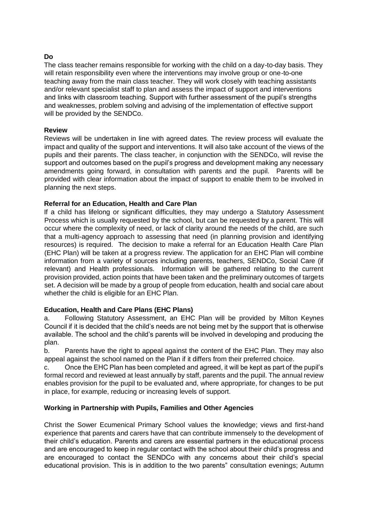# **Do**

The class teacher remains responsible for working with the child on a day-to-day basis. They will retain responsibility even where the interventions may involve group or one-to-one teaching away from the main class teacher. They will work closely with teaching assistants and/or relevant specialist staff to plan and assess the impact of support and interventions and links with classroom teaching. Support with further assessment of the pupil's strengths and weaknesses, problem solving and advising of the implementation of effective support will be provided by the SENDCo.

# **Review**

Reviews will be undertaken in line with agreed dates. The review process will evaluate the impact and quality of the support and interventions. It will also take account of the views of the pupils and their parents. The class teacher, in conjunction with the SENDCo, will revise the support and outcomes based on the pupil's progress and development making any necessary amendments going forward, in consultation with parents and the pupil. Parents will be provided with clear information about the impact of support to enable them to be involved in planning the next steps.

## **Referral for an Education, Health and Care Plan**

If a child has lifelong or significant difficulties, they may undergo a Statutory Assessment Process which is usually requested by the school, but can be requested by a parent. This will occur where the complexity of need, or lack of clarity around the needs of the child, are such that a multi-agency approach to assessing that need (in planning provision and identifying resources) is required. The decision to make a referral for an Education Health Care Plan (EHC Plan) will be taken at a progress review. The application for an EHC Plan will combine information from a variety of sources including parents, teachers, SENDCo, Social Care (if relevant) and Health professionals. Information will be gathered relating to the current provision provided, action points that have been taken and the preliminary outcomes of targets set. A decision will be made by a group of people from education, health and social care about whether the child is eligible for an EHC Plan.

# **Education, Health and Care Plans (EHC Plans)**

a. Following Statutory Assessment, an EHC Plan will be provided by Milton Keynes Council if it is decided that the child's needs are not being met by the support that is otherwise available. The school and the child's parents will be involved in developing and producing the plan.

b. Parents have the right to appeal against the content of the EHC Plan. They may also appeal against the school named on the Plan if it differs from their preferred choice.

c. Once the EHC Plan has been completed and agreed, it will be kept as part of the pupil's formal record and reviewed at least annually by staff, parents and the pupil. The annual review enables provision for the pupil to be evaluated and, where appropriate, for changes to be put in place, for example, reducing or increasing levels of support.

# **Working in Partnership with Pupils, Families and Other Agencies**

Christ the Sower Ecumenical Primary School values the knowledge; views and first-hand experience that parents and carers have that can contribute immensely to the development of their child's education. Parents and carers are essential partners in the educational process and are encouraged to keep in regular contact with the school about their child's progress and are encouraged to contact the SENDCo with any concerns about their child's special educational provision. This is in addition to the two parents" consultation evenings; Autumn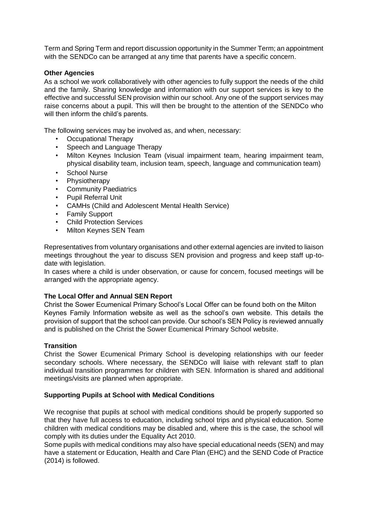Term and Spring Term and report discussion opportunity in the Summer Term; an appointment with the SENDCo can be arranged at any time that parents have a specific concern.

#### **Other Agencies**

As a school we work collaboratively with other agencies to fully support the needs of the child and the family. Sharing knowledge and information with our support services is key to the effective and successful SEN provision within our school. Any one of the support services may raise concerns about a pupil. This will then be brought to the attention of the SENDCo who will then inform the child's parents.

The following services may be involved as, and when, necessary:

- Occupational Therapy
- Speech and Language Therapy
- Milton Keynes Inclusion Team (visual impairment team, hearing impairment team, physical disability team, inclusion team, speech, language and communication team)
- School Nurse
- Physiotherapy
- Community Paediatrics
- Pupil Referral Unit
- CAMHs (Child and Adolescent Mental Health Service)
- Family Support
- Child Protection Services
- Milton Keynes SEN Team

Representatives from voluntary organisations and other external agencies are invited to liaison meetings throughout the year to discuss SEN provision and progress and keep staff up-todate with legislation.

In cases where a child is under observation, or cause for concern, focused meetings will be arranged with the appropriate agency.

#### **The Local Offer and Annual SEN Report**

Christ the Sower Ecumenical Primary School's Local Offer can be found both on the Milton Keynes Family Information website as well as the school's own website. This details the provision of support that the school can provide. Our school's SEN Policy is reviewed annually and is published on the Christ the Sower Ecumenical Primary School website.

#### **Transition**

Christ the Sower Ecumenical Primary School is developing relationships with our feeder secondary schools. Where necessary, the SENDCo will liaise with relevant staff to plan individual transition programmes for children with SEN. Information is shared and additional meetings/visits are planned when appropriate.

#### **Supporting Pupils at School with Medical Conditions**

We recognise that pupils at school with medical conditions should be properly supported so that they have full access to education, including school trips and physical education. Some children with medical conditions may be disabled and, where this is the case, the school will comply with its duties under the Equality Act 2010.

Some pupils with medical conditions may also have special educational needs (SEN) and may have a statement or Education, Health and Care Plan (EHC) and the SEND Code of Practice (2014) is followed.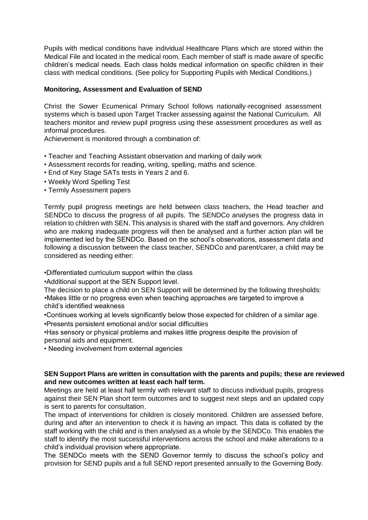Pupils with medical conditions have individual Healthcare Plans which are stored within the Medical File and located in the medical room. Each member of staff is made aware of specific children's medical needs. Each class holds medical information on specific children in their class with medical conditions. (See policy for Supporting Pupils with Medical Conditions.)

#### **Monitoring, Assessment and Evaluation of SEND**

Christ the Sower Ecumenical Primary School follows nationally-recognised assessment systems which is based upon Target Tracker assessing against the National Curriculum. All teachers monitor and review pupil progress using these assessment procedures as well as informal procedures.

Achievement is monitored through a combination of:

- Teacher and Teaching Assistant observation and marking of daily work
- Assessment records for reading, writing, spelling, maths and science.
- End of Key Stage SATs tests in Years 2 and 6.
- Weekly Word Spelling Test
- Termly Assessment papers

Termly pupil progress meetings are held between class teachers, the Head teacher and SENDCo to discuss the progress of all pupils. The SENDCo analyses the progress data in relation to children with SEN. This analysis is shared with the staff and governors. Any children who are making inadequate progress will then be analysed and a further action plan will be implemented led by the SENDCo. Based on the school's observations, assessment data and following a discussion between the class teacher, SENDCo and parent/carer, a child may be considered as needing either:

•Differentiated curriculum support within the class

•Additional support at the SEN Support level.

The decision to place a child on SEN Support will be determined by the following thresholds: •Makes little or no progress even when teaching approaches are targeted to improve a child's identified weakness

•Continues working at levels significantly below those expected for children of a similar age.

•Presents persistent emotional and/or social difficulties

•Has sensory or physical problems and makes little progress despite the provision of personal aids and equipment.

• Needing involvement from external agencies

#### **SEN Support Plans are written in consultation with the parents and pupils; these are reviewed and new outcomes written at least each half term.**

Meetings are held at least half termly with relevant staff to discuss individual pupils, progress against their SEN Plan short term outcomes and to suggest next steps and an updated copy is sent to parents for consultation.

The impact of interventions for children is closely monitored. Children are assessed before, during and after an intervention to check it is having an impact. This data is collated by the staff working with the child and is then analysed as a whole by the SENDCo. This enables the staff to identify the most successful interventions across the school and make alterations to a child's individual provision where appropriate.

The SENDCo meets with the SEND Governor termly to discuss the school's policy and provision for SEND pupils and a full SEND report presented annually to the Governing Body.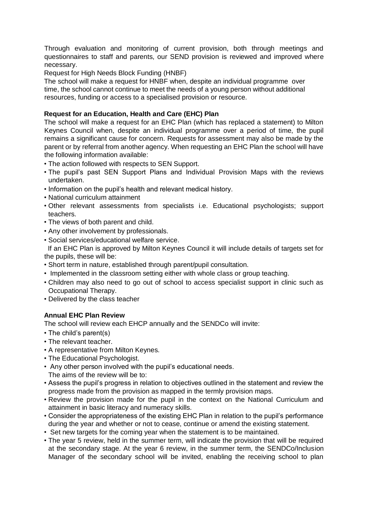Through evaluation and monitoring of current provision, both through meetings and questionnaires to staff and parents, our SEND provision is reviewed and improved where necessary.

Request for High Needs Block Funding (HNBF)

The school will make a request for HNBF when, despite an individual programme over time, the school cannot continue to meet the needs of a young person without additional resources, funding or access to a specialised provision or resource.

# **Request for an Education, Health and Care (EHC) Plan**

The school will make a request for an EHC Plan (which has replaced a statement) to Milton Keynes Council when, despite an individual programme over a period of time, the pupil remains a significant cause for concern. Requests for assessment may also be made by the parent or by referral from another agency. When requesting an EHC Plan the school will have the following information available:

- The action followed with respects to SEN Support.
- The pupil's past SEN Support Plans and Individual Provision Maps with the reviews undertaken.
- Information on the pupil's health and relevant medical history.
- National curriculum attainment
- Other relevant assessments from specialists i.e. Educational psychologists; support teachers.
- The views of both parent and child.
- Any other involvement by professionals.
- Social services/educational welfare service.

 If an EHC Plan is approved by Milton Keynes Council it will include details of targets set for the pupils, these will be:

- Short term in nature, established through parent/pupil consultation.
- Implemented in the classroom setting either with whole class or group teaching.
- Children may also need to go out of school to access specialist support in clinic such as Occupational Therapy.
- Delivered by the class teacher

# **Annual EHC Plan Review**

The school will review each EHCP annually and the SENDCo will invite:

- The child's parent(s)
- The relevant teacher.
- A representative from Milton Keynes.
- The Educational Psychologist.
- Any other person involved with the pupil's educational needs.
- The aims of the review will be to:
- Assess the pupil's progress in relation to objectives outlined in the statement and review the progress made from the provision as mapped in the termly provision maps.
- Review the provision made for the pupil in the context on the National Curriculum and attainment in basic literacy and numeracy skills.
- Consider the appropriateness of the existing EHC Plan in relation to the pupil's performance during the year and whether or not to cease, continue or amend the existing statement.
- Set new targets for the coming year when the statement is to be maintained.
- The year 5 review, held in the summer term, will indicate the provision that will be required at the secondary stage. At the year 6 review, in the summer term, the SENDCo/Inclusion Manager of the secondary school will be invited, enabling the receiving school to plan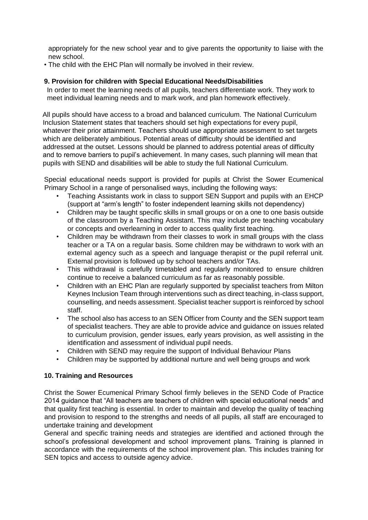appropriately for the new school year and to give parents the opportunity to liaise with the new school.

• The child with the EHC Plan will normally be involved in their review.

#### **9. Provision for children with Special Educational Needs/Disabilities**

In order to meet the learning needs of all pupils, teachers differentiate work. They work to meet individual learning needs and to mark work, and plan homework effectively.

All pupils should have access to a broad and balanced curriculum. The National Curriculum Inclusion Statement states that teachers should set high expectations for every pupil, whatever their prior attainment. Teachers should use appropriate assessment to set targets which are deliberately ambitious. Potential areas of difficulty should be identified and addressed at the outset. Lessons should be planned to address potential areas of difficulty and to remove barriers to pupil's achievement. In many cases, such planning will mean that pupils with SEND and disabilities will be able to study the full National Curriculum.

Special educational needs support is provided for pupils at Christ the Sower Ecumenical Primary School in a range of personalised ways, including the following ways:

- Teaching Assistants work in class to support SEN Support and pupils with an EHCP (support at "arm's length" to foster independent learning skills not dependency)
- Children may be taught specific skills in small groups or on a one to one basis outside of the classroom by a Teaching Assistant. This may include pre teaching vocabulary or concepts and overlearning in order to access quality first teaching.
- Children may be withdrawn from their classes to work in small groups with the class teacher or a TA on a regular basis. Some children may be withdrawn to work with an external agency such as a speech and language therapist or the pupil referral unit. External provision is followed up by school teachers and/or TAs.
- This withdrawal is carefully timetabled and regularly monitored to ensure children continue to receive a balanced curriculum as far as reasonably possible.
- Children with an EHC Plan are regularly supported by specialist teachers from Milton Keynes Inclusion Team through interventions such as direct teaching, in-class support, counselling, and needs assessment. Specialist teacher support is reinforced by school staff.
- The school also has access to an SEN Officer from County and the SEN support team of specialist teachers. They are able to provide advice and guidance on issues related to curriculum provision, gender issues, early years provision, as well assisting in the identification and assessment of individual pupil needs.
- Children with SEND may require the support of Individual Behaviour Plans
- Children may be supported by additional nurture and well being groups and work

#### **10. Training and Resources**

Christ the Sower Ecumenical Primary School firmly believes in the SEND Code of Practice 2014 guidance that "All teachers are teachers of children with special educational needs" and that quality first teaching is essential. In order to maintain and develop the quality of teaching and provision to respond to the strengths and needs of all pupils, all staff are encouraged to undertake training and development

General and specific training needs and strategies are identified and actioned through the school's professional development and school improvement plans. Training is planned in accordance with the requirements of the school improvement plan. This includes training for SEN topics and access to outside agency advice.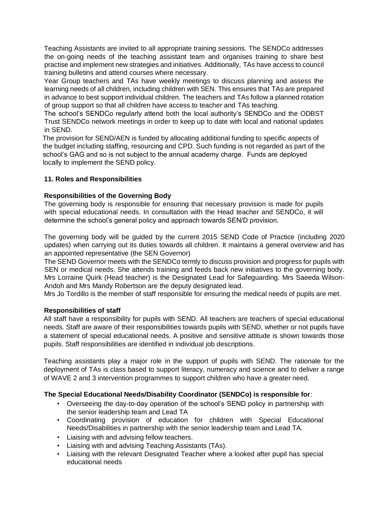Teaching Assistants are invited to all appropriate training sessions. The SENDCo addresses the on-going needs of the teaching assistant team and organises training to share best practise and implement new strategies and initiatives. Additionally, TAs have access to council training bulletins and attend courses where necessary.

Year Group teachers and TAs have weekly meetings to discuss planning and assess the learning needs of all children, including children with SEN. This ensures that TAs are prepared in advance to best support individual children. The teachers and TAs follow a planned rotation of group support so that all children have access to teacher and TAs teaching.

The school's SENDCo regularly attend both the local authority's SENDCo and the ODBST Trust SENDCo network meetings in order to keep up to date with local and national updates in SEND.

The provision for SEND/AEN is funded by allocating additional funding to specific aspects of the budget including staffing, resourcing and CPD. Such funding is not regarded as part of the school's GAG and so is not subject to the annual academy charge. Funds are deployed locally to implement the SEND policy.

## **11. Roles and Responsibilities**

#### **Responsibilities of the Governing Body**

The governing body is responsible for ensuring that necessary provision is made for pupils with special educational needs. In consultation with the Head teacher and SENDCo, it will determine the school's general policy and approach towards SEN/D provision.

The governing body will be guided by the current 2015 SEND Code of Practice (including 2020 updates) when carrying out its duties towards all children. It maintains a general overview and has an appointed representative (the SEN Governor)

The SEND Governor meets with the SENDCo termly to discuss provision and progress for pupils with SEN or medical needs. She attends training and feeds back new initiatives to the governing body. Mrs Lorraine Quirk (Head teacher) is the Designated Lead for Safeguarding. Mrs Saeeda Wilson-Andoh and Mrs Mandy Robertson are the deputy designated lead.

Mrs Jo Tordillo is the member of staff responsible for ensuring the medical needs of pupils are met.

#### **Responsibilities of staff**

All staff have a responsibility for pupils with SEND. All teachers are teachers of special educational needs. Staff are aware of their responsibilities towards pupils with SEND, whether or not pupils have a statement of special educational needs. A positive and sensitive attitude is shown towards those pupils. Staff responsibilities are identified in individual job descriptions.

Teaching assistants play a major role in the support of pupils with SEND. The rationale for the deployment of TAs is class based to support literacy, numeracy and science and to deliver a range of WAVE 2 and 3 intervention programmes to support children who have a greater need.

# **The Special Educational Needs/Disability Coordinator (SENDCo) is responsible for**:

- Overseeing the day-to-day operation of the school's SEND policy in partnership with the senior leadership team and Lead TA
- Coordinating provision of education for children with Special Educational Needs/Disabilities in partnership with the senior leadership team and Lead TA.
- Liaising with and advising fellow teachers.
- Liaising with and advising Teaching Assistants (TAs).
- Liaising with the relevant Designated Teacher where a looked after pupil has special educational needs